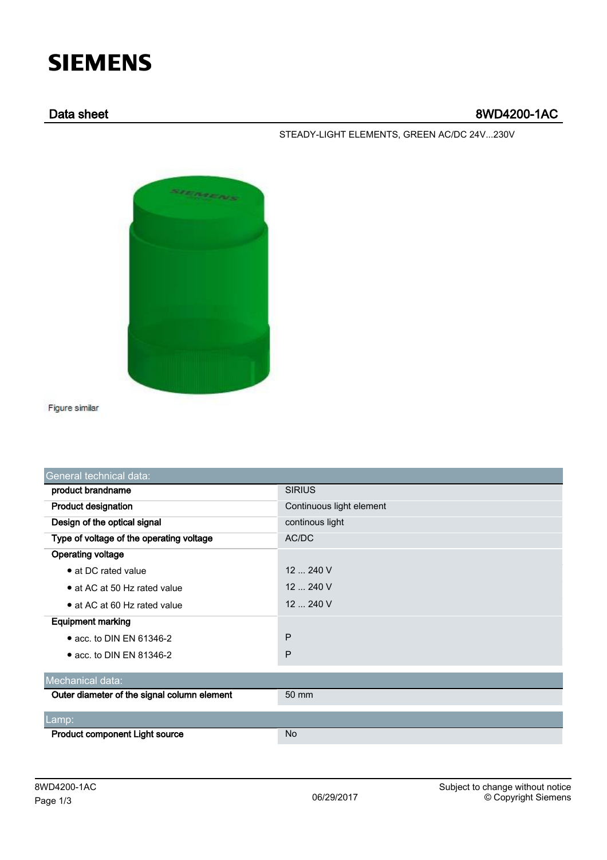## **SIEMENS**

## Data sheet 8WD4200-1AC

STEADY-LIGHT ELEMENTS, GREEN AC/DC 24V...230V



Figure similar

| General technical data:                     |                          |  |  |  |
|---------------------------------------------|--------------------------|--|--|--|
| product brandname                           | <b>SIRIUS</b>            |  |  |  |
| <b>Product designation</b>                  | Continuous light element |  |  |  |
| Design of the optical signal                | continous light          |  |  |  |
| Type of voltage of the operating voltage    | AC/DC                    |  |  |  |
| <b>Operating voltage</b>                    |                          |  |  |  |
| • at DC rated value                         | 12  240 V                |  |  |  |
| • at AC at 50 Hz rated value                | 12  240 V                |  |  |  |
| $\bullet$ at AC at 60 Hz rated value        | $12 - 240$ V             |  |  |  |
| <b>Equipment marking</b>                    |                          |  |  |  |
| $\bullet$ acc. to DIN EN 61346-2            | P                        |  |  |  |
| • acc. to DIN EN 81346-2                    | P                        |  |  |  |
| Mechanical data:                            |                          |  |  |  |
| Outer diameter of the signal column element | 50 mm                    |  |  |  |
| Lamp:                                       |                          |  |  |  |
| <b>Product component Light source</b>       | No                       |  |  |  |
|                                             |                          |  |  |  |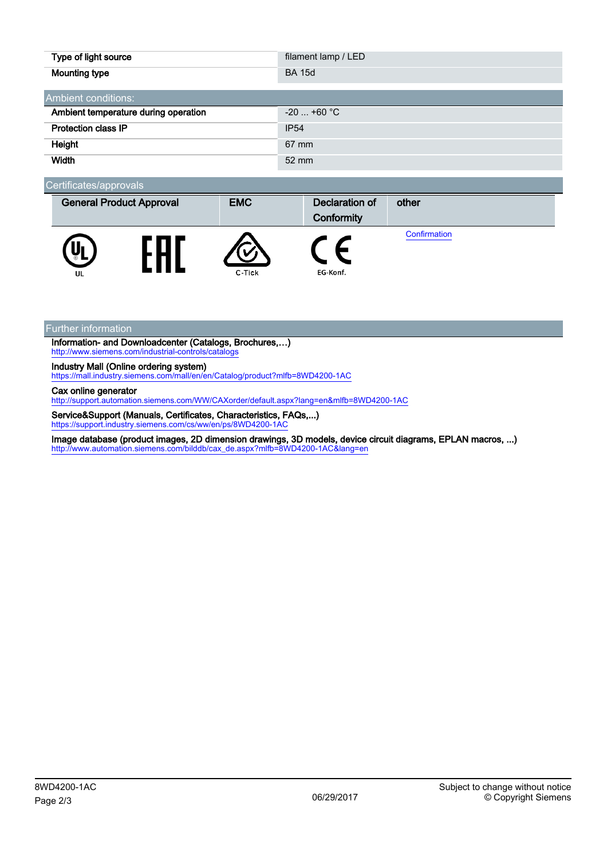| Type of light source                 | filament lamp / LED |  |  |  |
|--------------------------------------|---------------------|--|--|--|
| <b>Mounting type</b>                 | <b>BA 15d</b>       |  |  |  |
| Ambient conditions:                  |                     |  |  |  |
| Ambient temperature during operation | $-20$ +60 °C        |  |  |  |
| Protection class IP                  | <b>IP54</b>         |  |  |  |
| Height                               | 67 mm               |  |  |  |
| Width                                | 52 mm               |  |  |  |

| Certificates/approvals |  |
|------------------------|--|
|                        |  |

| <b>General Product Approval</b> |  | <b>EMC</b> | <b>Declaration of</b><br>Conformity | other        |
|---------------------------------|--|------------|-------------------------------------|--------------|
| Uı<br>UШ                        |  | C-Tick     | EG-Konf.                            | Confirmation |

Further information

Information- and Downloadcenter (Catalogs, Brochures,…) <http://www.siemens.com/industrial-controls/catalogs>

Industry Mall (Online ordering system)

<https://mall.industry.siemens.com/mall/en/en/Catalog/product?mlfb=8WD4200-1AC>

Cax online generator

<http://support.automation.siemens.com/WW/CAXorder/default.aspx?lang=en&mlfb=8WD4200-1AC>

Service&Support (Manuals, Certificates, Characteristics, FAQs,...)<br>https://support.industry.siemens.com/cs/ww/en/ps/8WD4200-1AC industry.siemens.com/cs/ww/en/ps/8WD4200-1AC

Image database (product images, 2D dimension drawings, 3D models, device circuit diagrams, EPLAN macros, ...) [http://www.automation.siemens.com/bilddb/cax\\_de.aspx?mlfb=8WD4200-1AC&lang=en](http://www.automation.siemens.com/bilddb/cax_de.aspx?mlfb=8WD4200-1AC&lang=en)